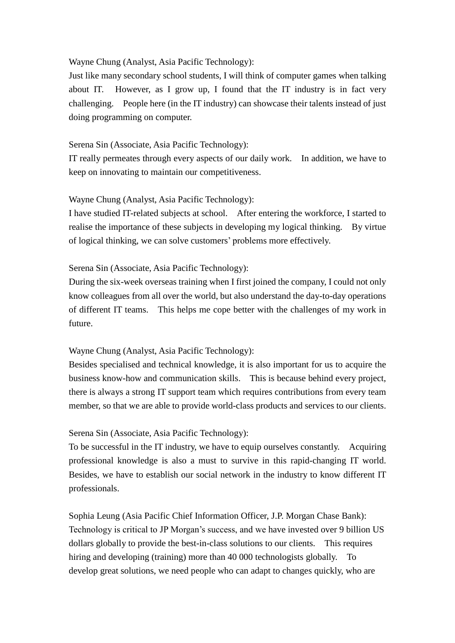Wayne Chung (Analyst, Asia Pacific Technology):

 Just like many secondary school students, I will think of computer games when talking challenging. People here (in the IT industry) can showcase their talents instead of just about IT. However, as I grow up, I found that the IT industry is in fact very doing programming on computer.

### Serena Sin (Associate, Asia Pacific Technology):

 IT really permeates through every aspects of our daily work. In addition, we have to keep on innovating to maintain our competitiveness.

# Wayne Chung (Analyst, Asia Pacific Technology):

 I have studied IT-related subjects at school. After entering the workforce, I started to realise the importance of these subjects in developing my logical thinking. By virtue of logical thinking, we can solve customers' problems more effectively. By virtue

## Serena Sin (Associate, Asia Pacific Technology):

 During the six-week overseas training when I first joined the company, I could not only know colleagues from all over the world, but also understand the day-to-day operations of different IT teams. This helps me cope better with the challenges of my work in future.

# Wayne Chung (Analyst, Asia Pacific Technology):

 Besides specialised and technical knowledge, it is also important for us to acquire the business know-how and communication skills. This is because behind every project, there is always a strong IT support team which requires contributions from every team member, so that we are able to provide world-class products and services to our clients.

# Serena Sin (Associate, Asia Pacific Technology):

 To be successful in the IT industry, we have to equip ourselves constantly. Acquiring professional knowledge is also a must to survive in this rapid-changing IT world. Besides, we have to establish our social network in the industry to know different IT professionals.

 Sophia Leung (Asia Pacific Chief Information Officer, J.P. Morgan Chase Bank): Technology is critical to JP Morgan's success, and we have invested over 9 billion US develop great solutions, we need people who can adapt to changes quickly, who are dollars globally to provide the best-in-class solutions to our clients. This requires hiring and developing (training) more than 40 000 technologists globally. To